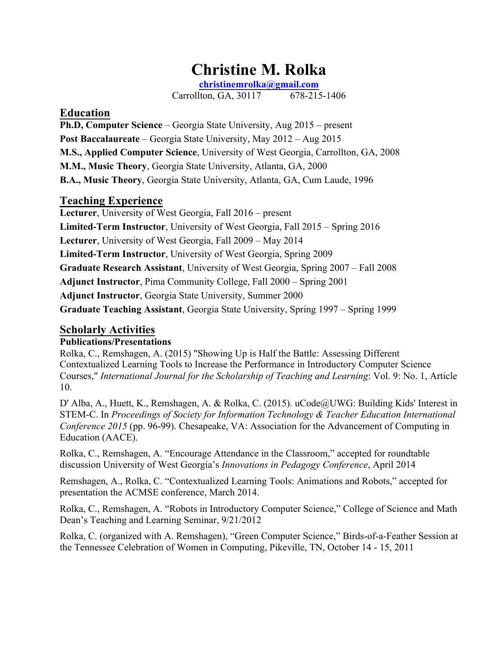# **Christine M. Rolka**

**christinemrolka@gmail.com**

Carrollton, GA, 30117 678-215-1406

## **Education**

**Ph.D, Computer Science** – Georgia State University, Aug 2015 – present **Post Baccalaureate** – Georgia State University, May 2012 – Aug 2015 **M.S., Applied Computer Science**, University of West Georgia, Carrollton, GA, 2008 **M.M., Music Theory**, Georgia State University, Atlanta, GA, 2000 **B.A., Music Theory**, Georgia State University, Atlanta, GA, Cum Laude, 1996

# **Teaching Experience**

**Lecturer**, University of West Georgia, Fall 2016 – present **Limited-Term Instructor**, University of West Georgia, Fall 2015 – Spring 2016 **Lecturer**, University of West Georgia, Fall 2009 – May 2014 **Limited-Term Instructor**, University of West Georgia, Spring 2009 **Graduate Research Assistant**, University of West Georgia, Spring 2007 – Fall 2008 **Adjunct Instructor**, Pima Community College, Fall 2000 – Spring 2001 **Adjunct Instructor**, Georgia State University, Summer 2000 **Graduate Teaching Assistant**, Georgia State University, Spring 1997 – Spring 1999

# **Scholarly Activities**

## **Publications/Presentations**

Rolka, C., Remshagen, A. (2015) "Showing Up is Half the Battle: Assessing Different Contextualized Learning Tools to Increase the Performance in Introductory Computer Science Courses," *International Journal for the Scholarship of Teaching and Learning*: Vol. 9: No. 1, Article 10.

D' Alba, A., Huett, K., Remshagen, A. & Rolka, C. (2015). uCode@UWG: Building Kids' Interest in STEM-C. In *Proceedings of Society for Information Technology & Teacher Education International Conference 2015* (pp. 96-99). Chesapeake, VA: Association for the Advancement of Computing in Education (AACE).

Rolka, C., Remshagen, A. "Encourage Attendance in the Classroom," accepted for roundtable discussion University of West Georgia's *Innovations in Pedagogy Conference*, April 2014

Remshagen, A., Rolka, C. "Contextualized Learning Tools: Animations and Robots," accepted for presentation the ACMSE conference, March 2014.

Rolka, C., Remshagen, A. "Robots in Introductory Computer Science," College of Science and Math Dean's Teaching and Learning Seminar, 9/21/2012

Rolka, C. (organized with A. Remshagen), "Green Computer Science," Birds-of-a-Feather Session at the Tennessee Celebration of Women in Computing, Pikeville, TN, October 14 - 15, 2011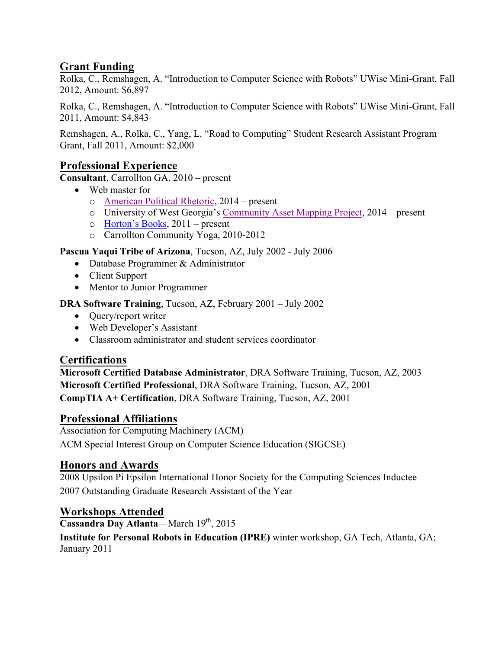# **Grant Funding**

Rolka, C., Remshagen, A. "Introduction to Computer Science with Robots" UWise Mini-Grant, Fall 2012, Amount: \$6,897

Rolka, C., Remshagen, A. "Introduction to Computer Science with Robots" UWise Mini-Grant, Fall 2011, Amount: \$4,843

Remshagen, A., Rolka, C., Yang, L. "Road to Computing" Student Research Assistant Program Grant, Fall 2011, Amount: \$2,000

# **Professional Experience**

**Consultant**, Carrollton GA, 2010 – present

- Web master for
	- o American Political Rhetoric, 2014 present
	- o University of West Georgia's Community Asset Mapping Project, 2014 present
	- o Horton's Books, 2011 present
	- o Carrollton Community Yoga, 2010-2012

**Pascua Yaqui Tribe of Arizona**, Tucson, AZ, July 2002 - July 2006

- Database Programmer & Administrator
- Client Support
- Mentor to Junior Programmer

#### **DRA Software Training**, Tucson, AZ, February 2001 – July 2002

- Query/report writer
- Web Developer's Assistant
- Classroom administrator and student services coordinator

# **Certifications**

**Microsoft Certified Database Administrator**, DRA Software Training, Tucson, AZ, 2003 **Microsoft Certified Professional**, DRA Software Training, Tucson, AZ, 2001 **CompTIA A+ Certification**, DRA Software Training, Tucson, AZ, 2001

## **Professional Affiliations**

Association for Computing Machinery (ACM)

ACM Special Interest Group on Computer Science Education (SIGCSE)

## **Honors and Awards**

2008 Upsilon Pi Epsilon International Honor Society for the Computing Sciences Inductee 2007 Outstanding Graduate Research Assistant of the Year

## **Workshops Attended**

**Cassandra Day Atlanta** – March 19th, 2015

**Institute for Personal Robots in Education (IPRE)** winter workshop, GA Tech, Atlanta, GA; January 2011